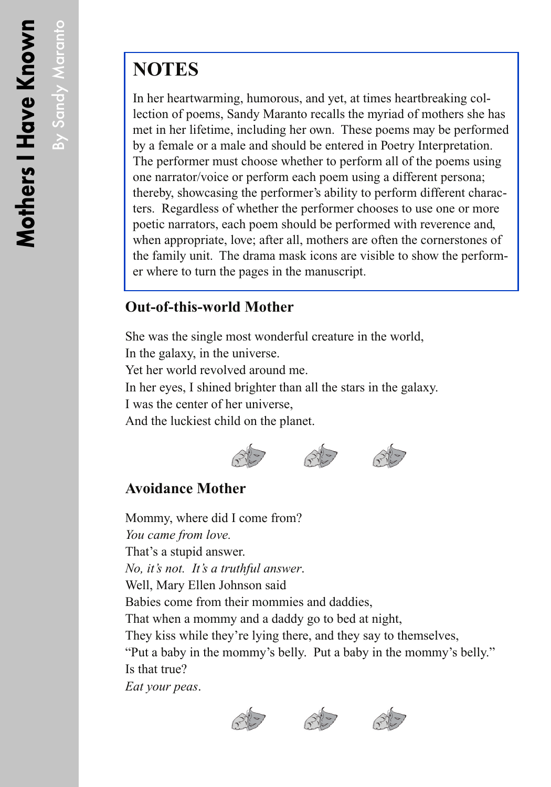By Sandy Maranto

By Sandy Maranto

# **NOTES**

In her heartwarming, humorous, and yet, at times heartbreaking collection of poems, Sandy Maranto recalls the myriad of mothers she has met in her lifetime, including her own. These poems may be performed by a female or a male and should be entered in Poetry Interpretation. The performer must choose whether to perform all of the poems using one narrator/voice or perform each poem using a different persona; thereby, showcasing the performer's ability to perform different characters. Regardless of whether the performer chooses to use one or more poetic narrators, each poem should be performed with reverence and, when appropriate, love; after all, mothers are often the cornerstones of the family unit. The drama mask icons are visible to show the performer where to turn the pages in the manuscript.

### **Out-of-this-world Mother**

She was the single most wonderful creature in the world, In the galaxy, in the universe. Yet her world revolved around me. In her eyes, I shined brighter than all the stars in the galaxy. I was the center of her universe, And the luckiest child on the planet.





#### **Avoidance Mother**

Mommy, where did I come from? *You came from love.* That's a stupid answer. *No, it's not. It's a truthful answer*. Well, Mary Ellen Johnson said Babies come from their mommies and daddies, That when a mommy and a daddy go to bed at night, They kiss while they're lying there, and they say to themselves, "Put a baby in the mommy's belly. Put a baby in the mommy's belly." Is that true? *Eat your peas*.